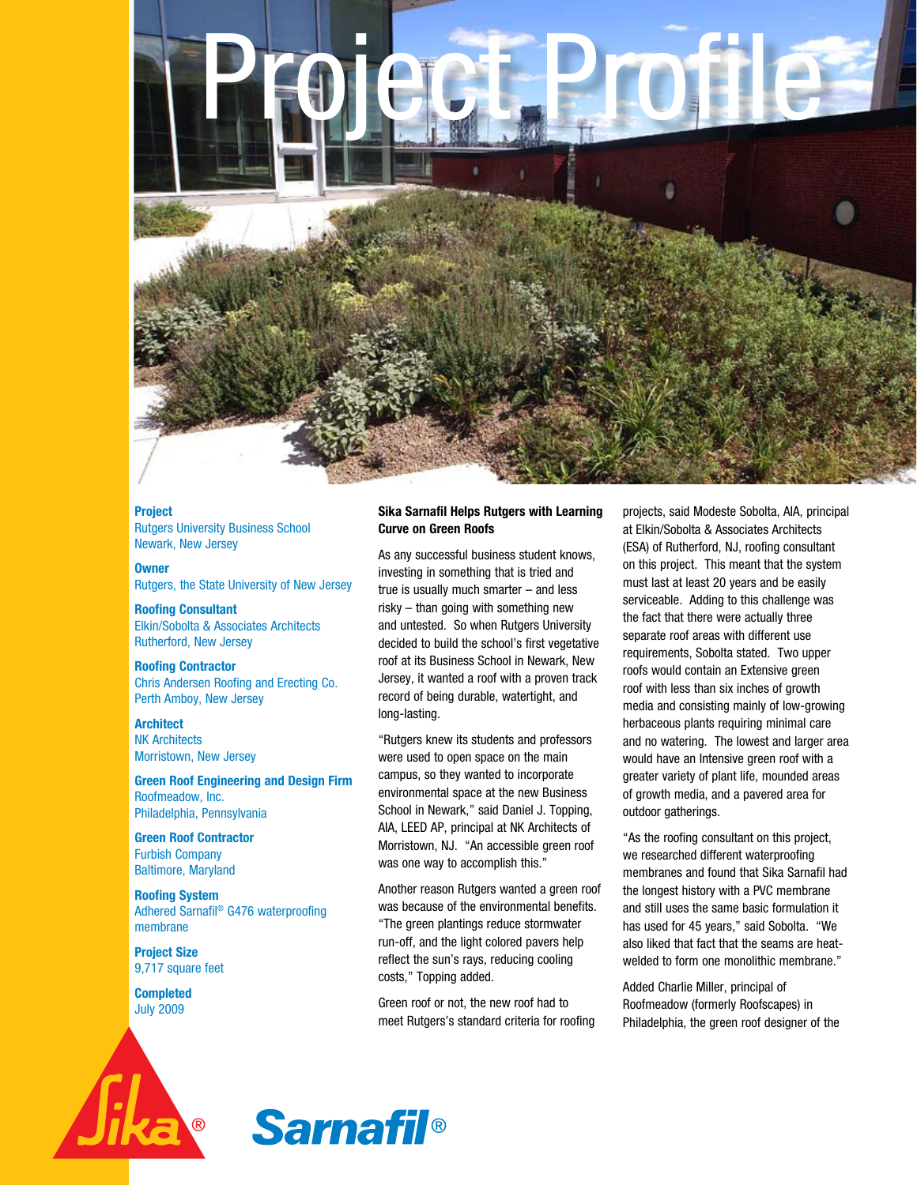

**Project** Rutgers University Business School Newark, New Jersey

**Owner** Rutgers, the State University of New Jersey

**Roofing Consultant** Elkin/Sobolta & Associates Architects Rutherford, New Jersey

**Roofing Contractor** Chris Andersen Roofing and Erecting Co. Perth Amboy, New Jersey

**Architect** NK Architects Morristown, New Jersey

**Green Roof Engineering and Design Firm** Roofmeadow, Inc. Philadelphia, Pennsylvania

**Green Roof Contractor** Furbish Company Baltimore, Maryland

**Roofing System** Adhered Sarnafil® G476 waterproofing membrane

**Project Size** 9,717 square feet

**Completed** July 2009

## **Sika Sarnafil Helps Rutgers with Learning Curve on Green Roofs**

As any successful business student knows, investing in something that is tried and true is usually much smarter – and less risky – than going with something new and untested. So when Rutgers University decided to build the school's first vegetative roof at its Business School in Newark, New Jersey, it wanted a roof with a proven track record of being durable, watertight, and long-lasting.

"Rutgers knew its students and professors were used to open space on the main campus, so they wanted to incorporate environmental space at the new Business School in Newark," said Daniel J. Topping, AIA, LEED AP, principal at NK Architects of Morristown, NJ. "An accessible green roof was one way to accomplish this."

Another reason Rutgers wanted a green roof was because of the environmental benefits. "The green plantings reduce stormwater run-off, and the light colored pavers help reflect the sun's rays, reducing cooling costs," Topping added.

Green roof or not, the new roof had to meet Rutgers's standard criteria for roofing projects, said Modeste Sobolta, AIA, principal at Elkin/Sobolta & Associates Architects (ESA) of Rutherford, NJ, roofing consultant on this project. This meant that the system must last at least 20 years and be easily serviceable. Adding to this challenge was the fact that there were actually three separate roof areas with different use requirements, Sobolta stated. Two upper roofs would contain an Extensive green roof with less than six inches of growth media and consisting mainly of low-growing herbaceous plants requiring minimal care and no watering. The lowest and larger area would have an Intensive green roof with a greater variety of plant life, mounded areas of growth media, and a pavered area for outdoor gatherings.

"As the roofing consultant on this project, we researched different waterproofing membranes and found that Sika Sarnafil had the longest history with a PVC membrane and still uses the same basic formulation it has used for 45 years," said Sobolta. "We also liked that fact that the seams are heatwelded to form one monolithic membrane."

Added Charlie Miller, principal of Roofmeadow (formerly Roofscapes) in Philadelphia, the green roof designer of the